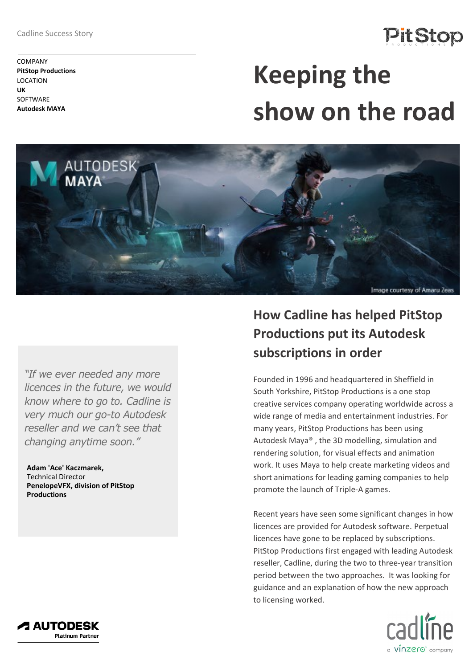Cadline Success Story

# **PitStop**

COMPANY **PitStop Productions** LOCATION **UK SOFTWARE Autodesk MAYA**

# **Keeping the show on the road**



*"If we ever needed any more licences in the future, we would know where to go to. Cadline is very much our go-to Autodesk reseller and we can't see that changing anytime soon."*

 **Adam 'Ace' Kaczmarek,** Technical Director  **PenelopeVFX, division of PitStop Productions**

## **How Cadline has helped PitStop Productions put its Autodesk subscriptions in order**

Founded in 1996 and headquartered in Sheffield in South Yorkshire, PitStop Productions is a one stop creative services company operating worldwide across a wide range of media and entertainment industries. For many years, PitStop Productions has been using Autodesk Maya® , the 3D modelling, simulation and rendering solution, for visual effects and animation work. It uses Maya to help create marketing videos and short animations for leading gaming companies to help promote the launch of Triple-A games.

Recent years have seen some significant changes in how licences are provided for Autodesk software. Perpetual licences have gone to be replaced by subscriptions. PitStop Productions first engaged with leading Autodesk reseller, Cadline, during the two to three-year transition period between the two approaches. It was looking for guidance and an explanation of how the new approach to licensing worked.



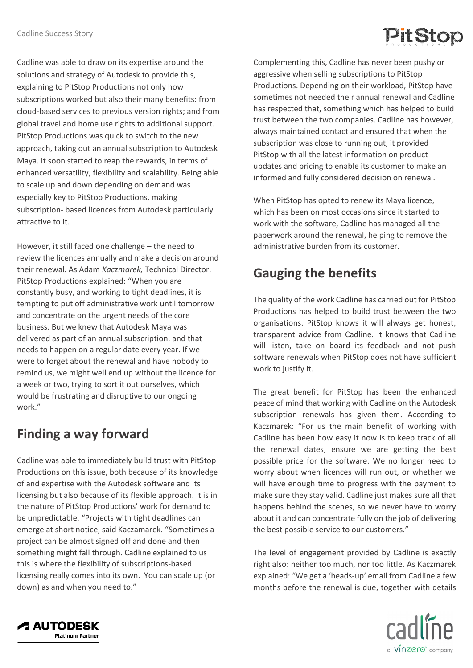

Cadline was able to draw on its expertise around the solutions and strategy of Autodesk to provide this, explaining to PitStop Productions not only how subscriptions worked but also their many benefits: from cloud-based services to previous version rights; and from global travel and home use rights to additional support. PitStop Productions was quick to switch to the new approach, taking out an annual subscription to Autodesk Maya. It soon started to reap the rewards, in terms of enhanced versatility, flexibility and scalability. Being able to scale up and down depending on demand was especially key to PitStop Productions, making subscription- based licences from Autodesk particularly attractive to it.

However, it still faced one challenge – the need to review the licences annually and make a decision around their renewal. As Adam *Kaczmarek,* Technical Director, PitStop Productions explained: "When you are constantly busy, and working to tight deadlines, it is tempting to put off administrative work until tomorrow and concentrate on the urgent needs of the core business. But we knew that Autodesk Maya was delivered as part of an annual subscription, and that needs to happen on a regular date every year. If we were to forget about the renewal and have nobody to remind us, we might well end up without the licence for a week or two, trying to sort it out ourselves, which would be frustrating and disruptive to our ongoing work."

#### **Finding a way forward**

Cadline was able to immediately build trust with PitStop Productions on this issue, both because of its knowledge of and expertise with the Autodesk software and its licensing but also because of its flexible approach. It is in the nature of PitStop Productions' work for demand to be unpredictable. "Projects with tight deadlines can emerge at short notice, said Kaczamarek. "Sometimes a project can be almost signed off and done and then something might fall through. Cadline explained to us this is where the flexibility of subscriptions-based licensing really comes into its own. You can scale up (or down) as and when you need to."

Complementing this, Cadline has never been pushy or aggressive when selling subscriptions to PitStop Productions. Depending on their workload, PitStop have sometimes not needed their annual renewal and Cadline has respected that, something which has helped to build trust between the two companies. Cadline has however, always maintained contact and ensured that when the subscription was close to running out, it provided PitStop with all the latest information on product updates and pricing to enable its customer to make an informed and fully considered decision on renewal.

When PitStop has opted to renew its Maya licence, which has been on most occasions since it started to work with the software, Cadline has managed all the paperwork around the renewal, helping to remove the administrative burden from its customer.

### **Gauging the benefits**

The quality of the work Cadline has carried out for PitStop Productions has helped to build trust between the two organisations. PitStop knows it will always get honest, transparent advice from Cadline. It knows that Cadline will listen, take on board its feedback and not push software renewals when PitStop does not have sufficient work to justify it.

The great benefit for PitStop has been the enhanced peace of mind that working with Cadline on the Autodesk subscription renewals has given them. According to Kaczmarek: "For us the main benefit of working with Cadline has been how easy it now is to keep track of all the renewal dates, ensure we are getting the best possible price for the software. We no longer need to worry about when licences will run out, or whether we will have enough time to progress with the payment to make sure they stay valid. Cadline just makes sure all that happens behind the scenes, so we never have to worry about it and can concentrate fully on the job of delivering the best possible service to our customers."

The level of engagement provided by Cadline is exactly right also: neither too much, nor too little. As Kaczmarek explained: "We get a 'heads-up' email from Cadline a few months before the renewal is due, together with details